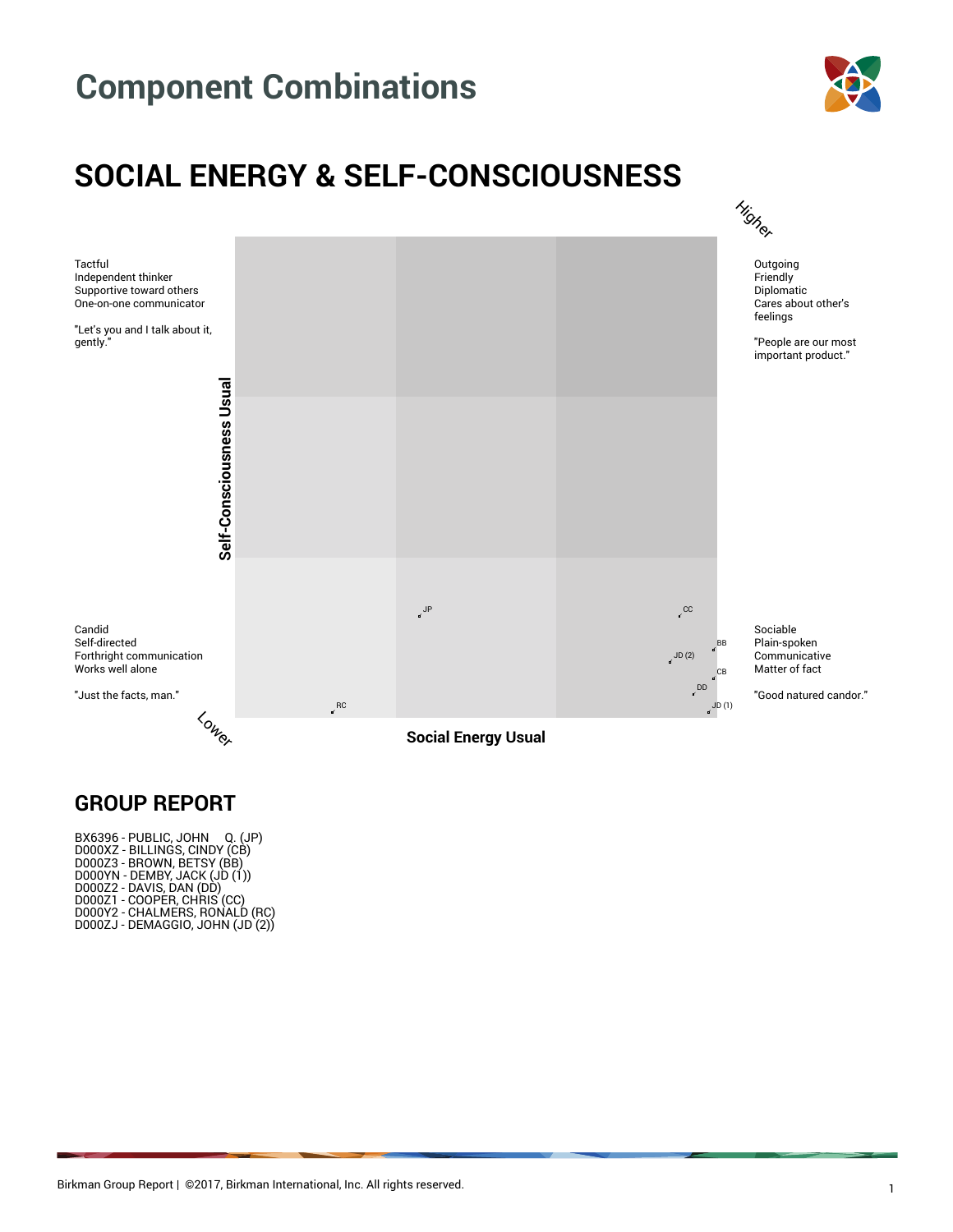

### **SOCIAL ENERGY & SELF-CONSCIOUSNESS**



#### **GROUP REPORT**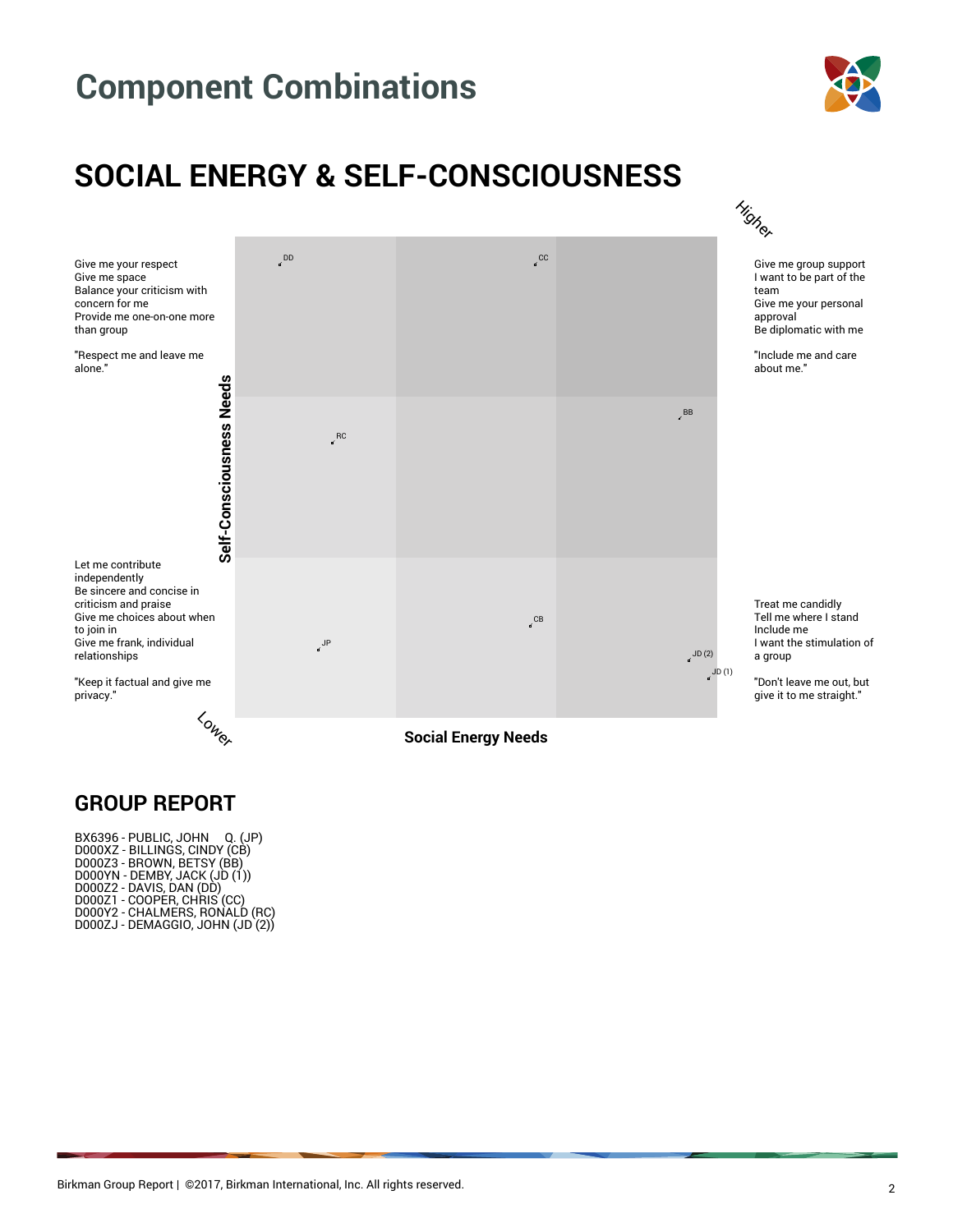

### **SOCIAL ENERGY & SELF-CONSCIOUSNESS**



#### **GROUP REPORT**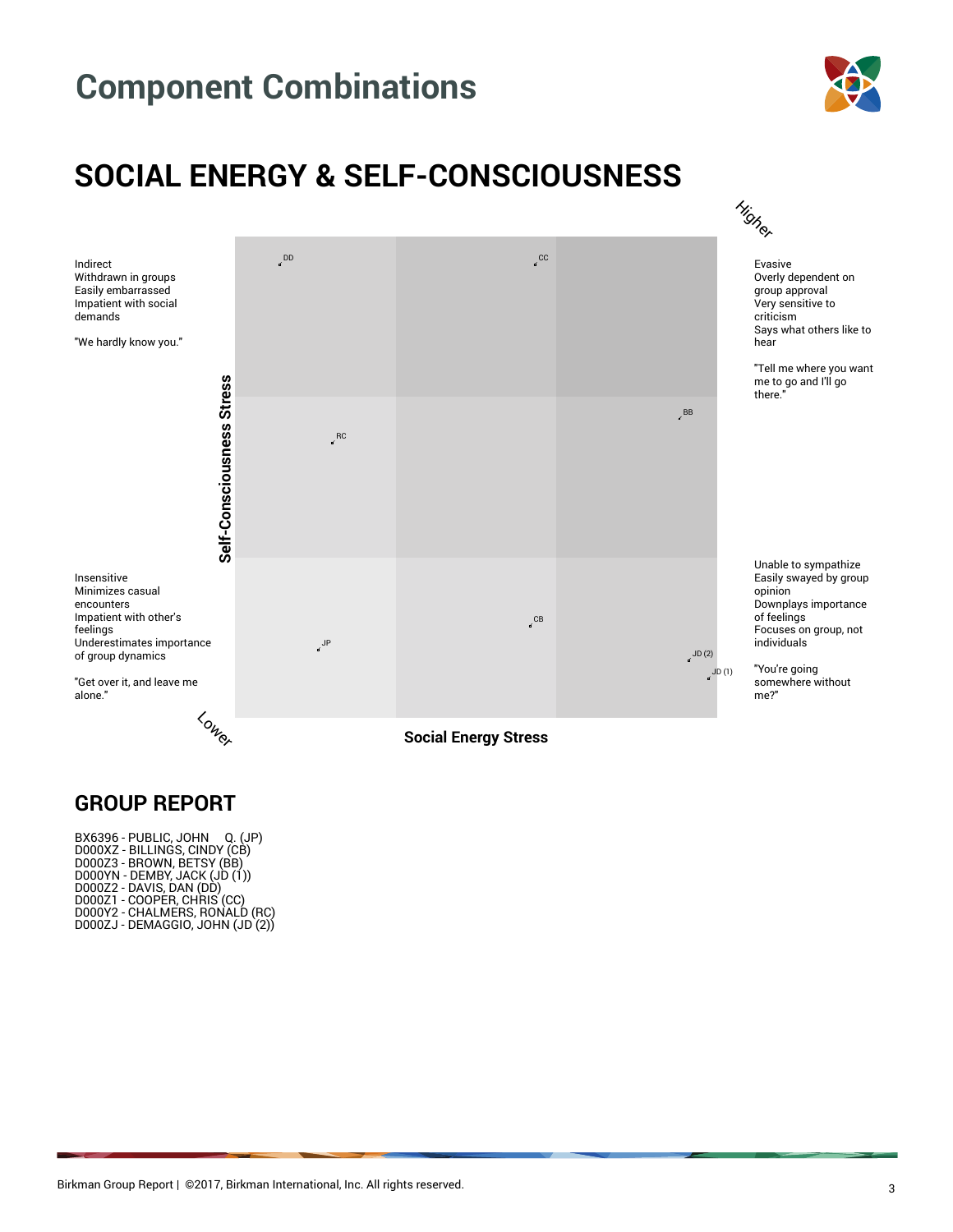

### **SOCIAL ENERGY & SELF-CONSCIOUSNESS**



#### **GROUP REPORT**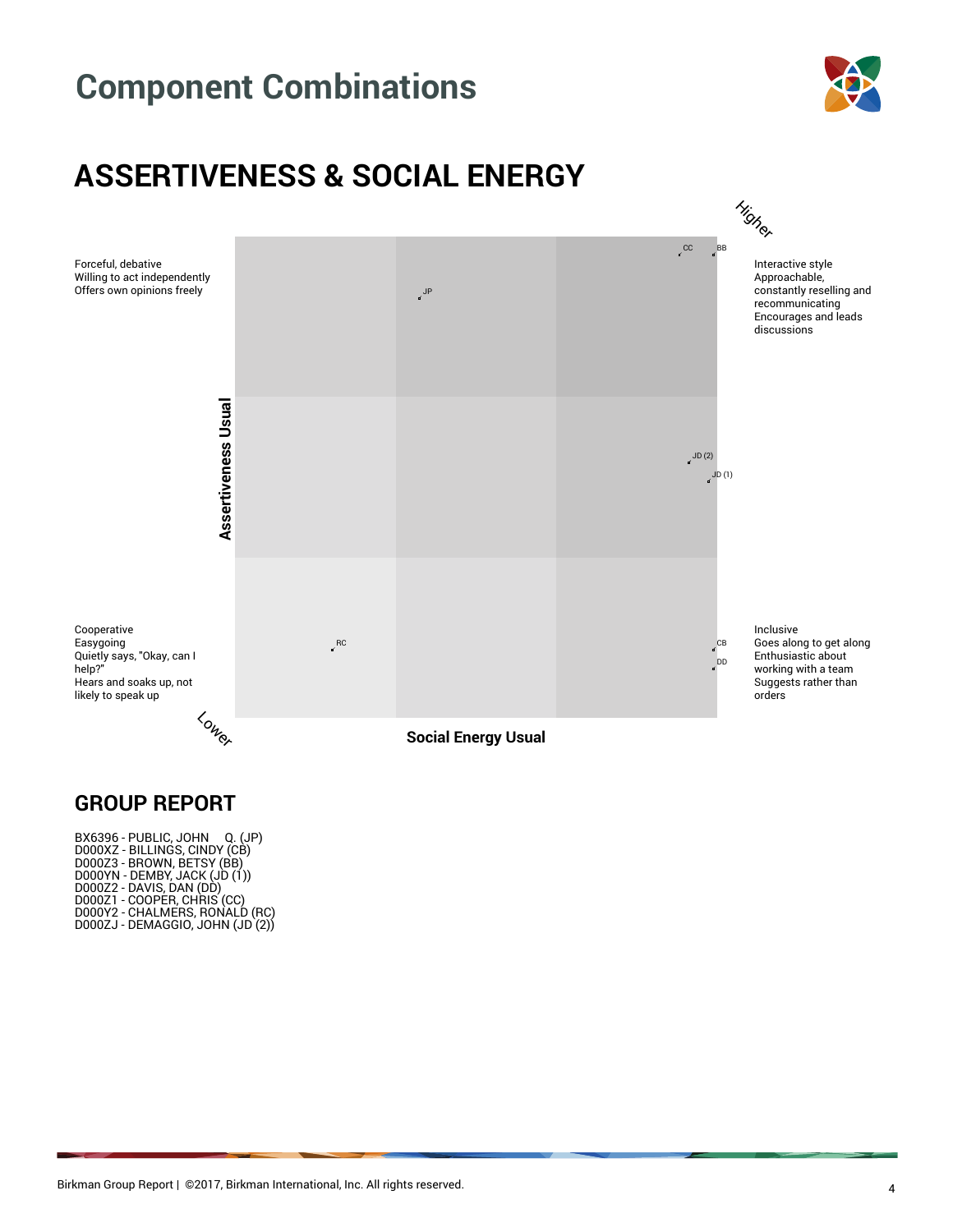

### **ASSERTIVENESS & SOCIAL ENERGY**



#### **GROUP REPORT**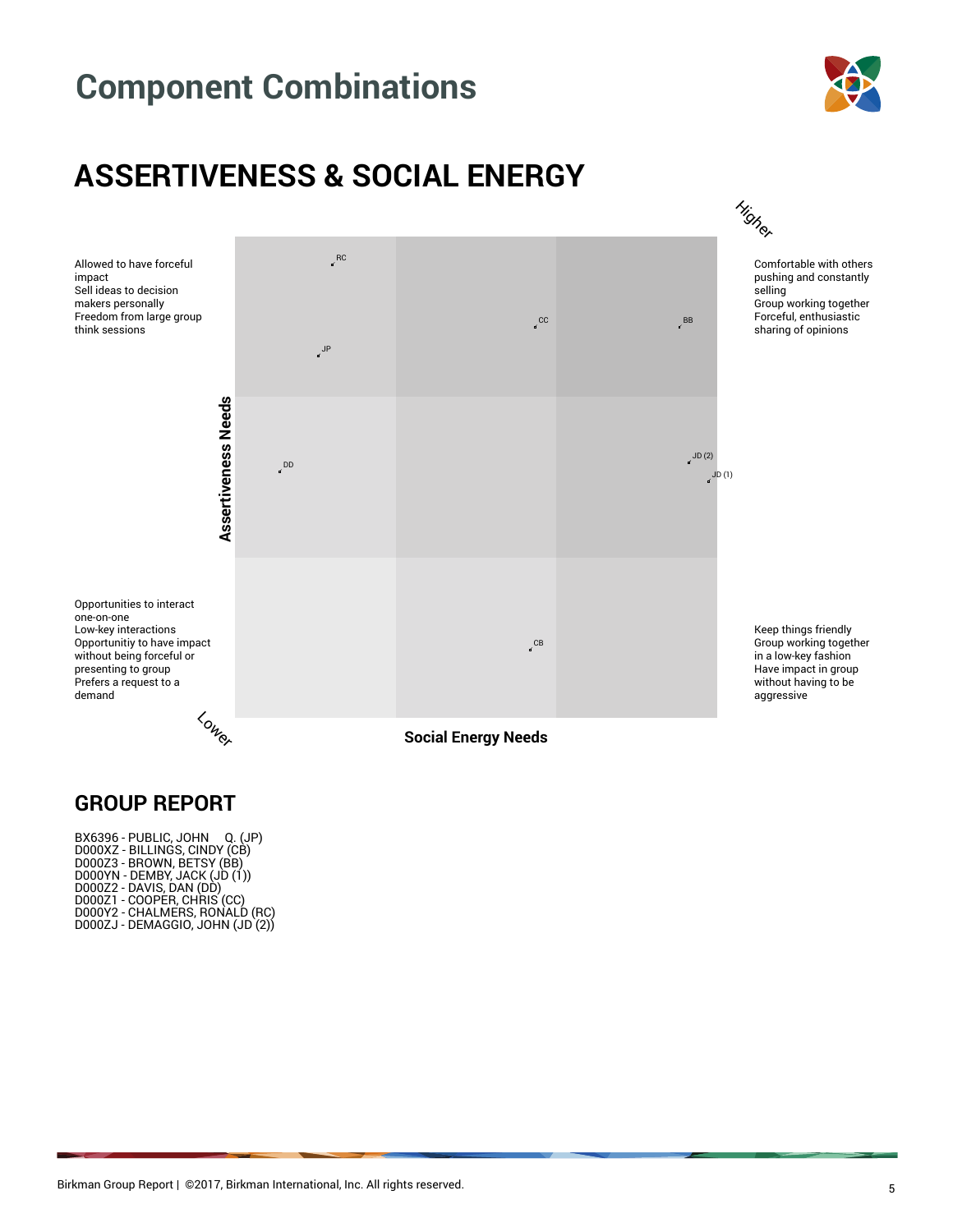

### **ASSERTIVENESS & SOCIAL ENERGY**



#### **GROUP REPORT**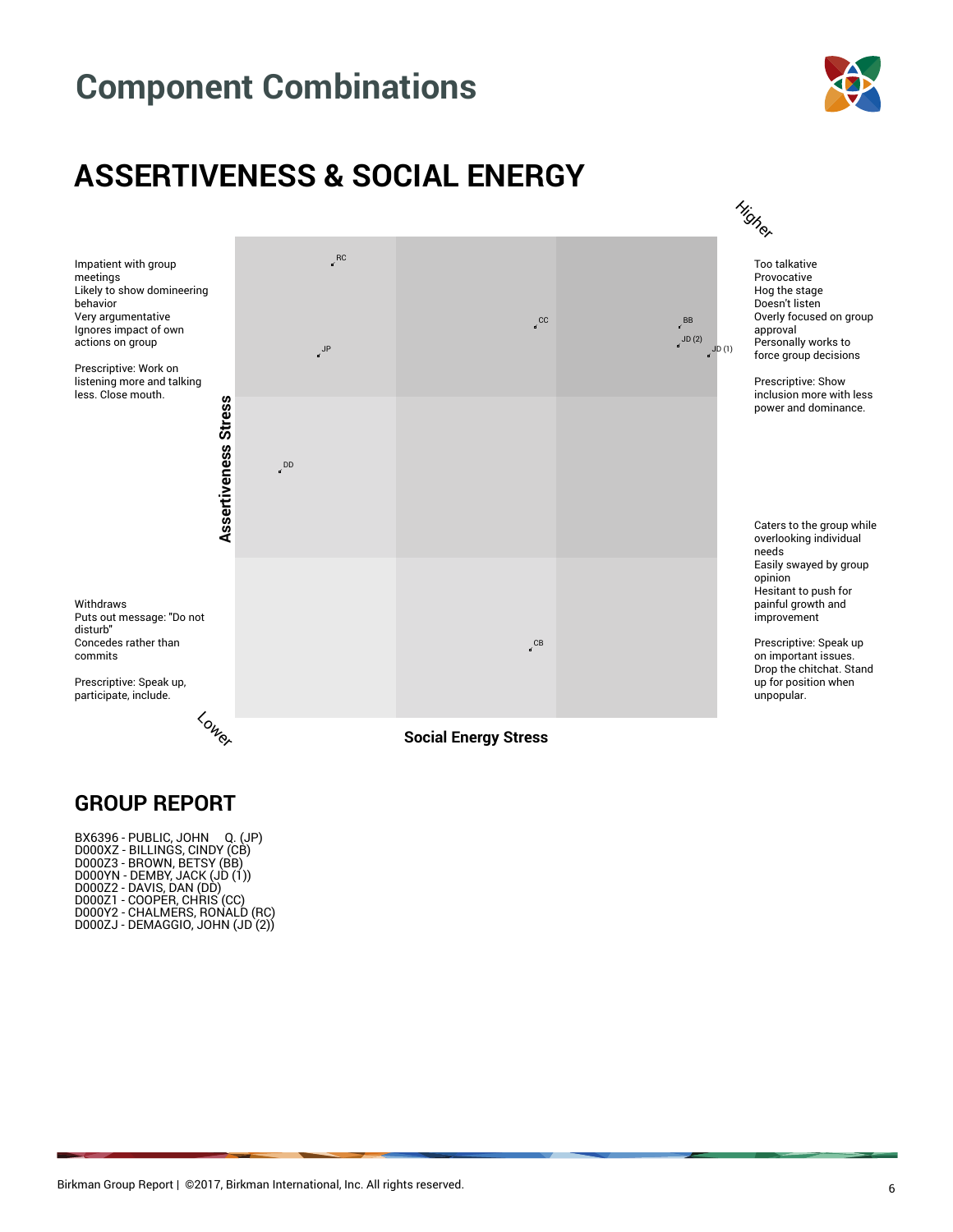

### **ASSERTIVENESS & SOCIAL ENERGY**



#### **GROUP REPORT**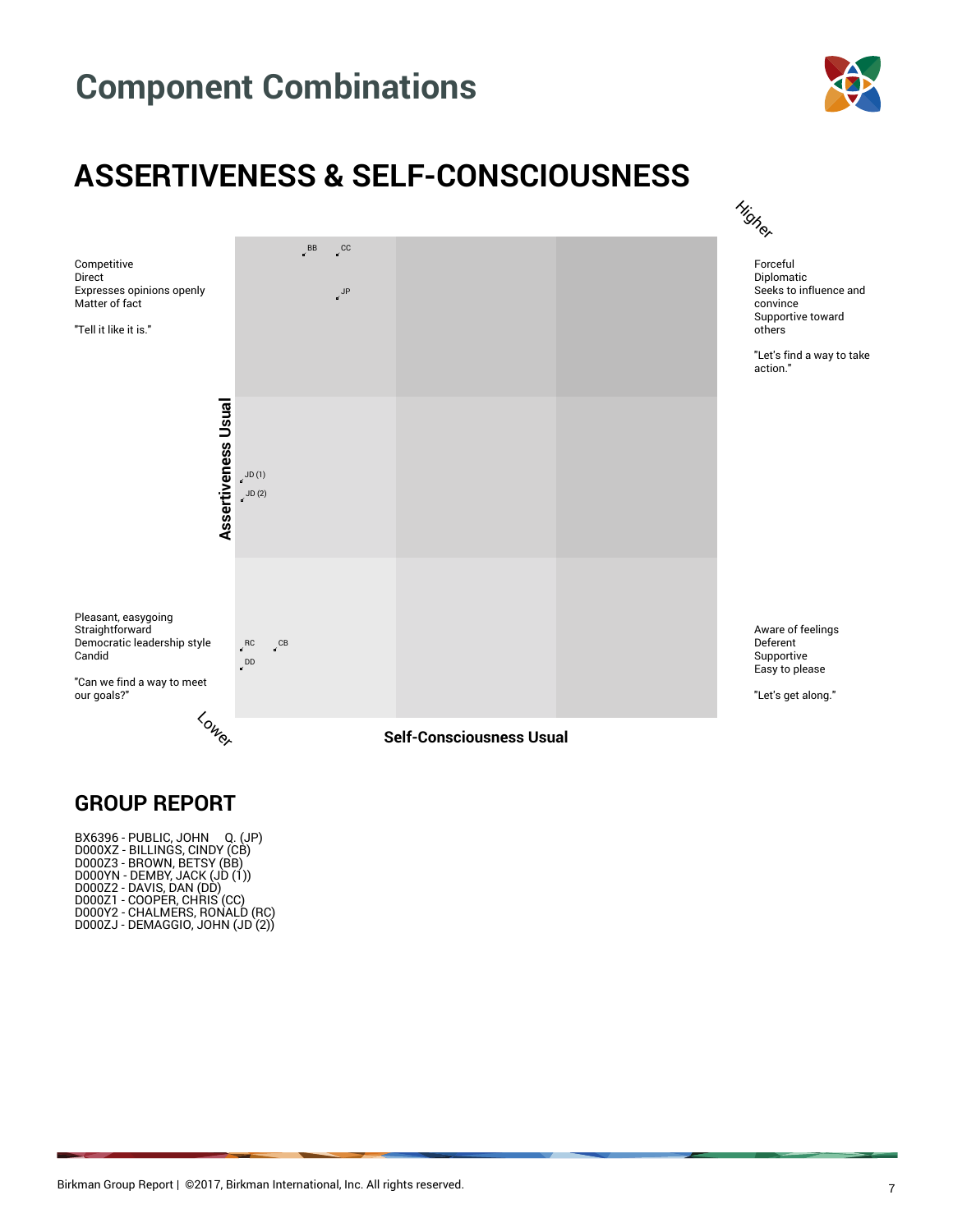

### **ASSERTIVENESS & SELF-CONSCIOUSNESS**



#### **GROUP REPORT**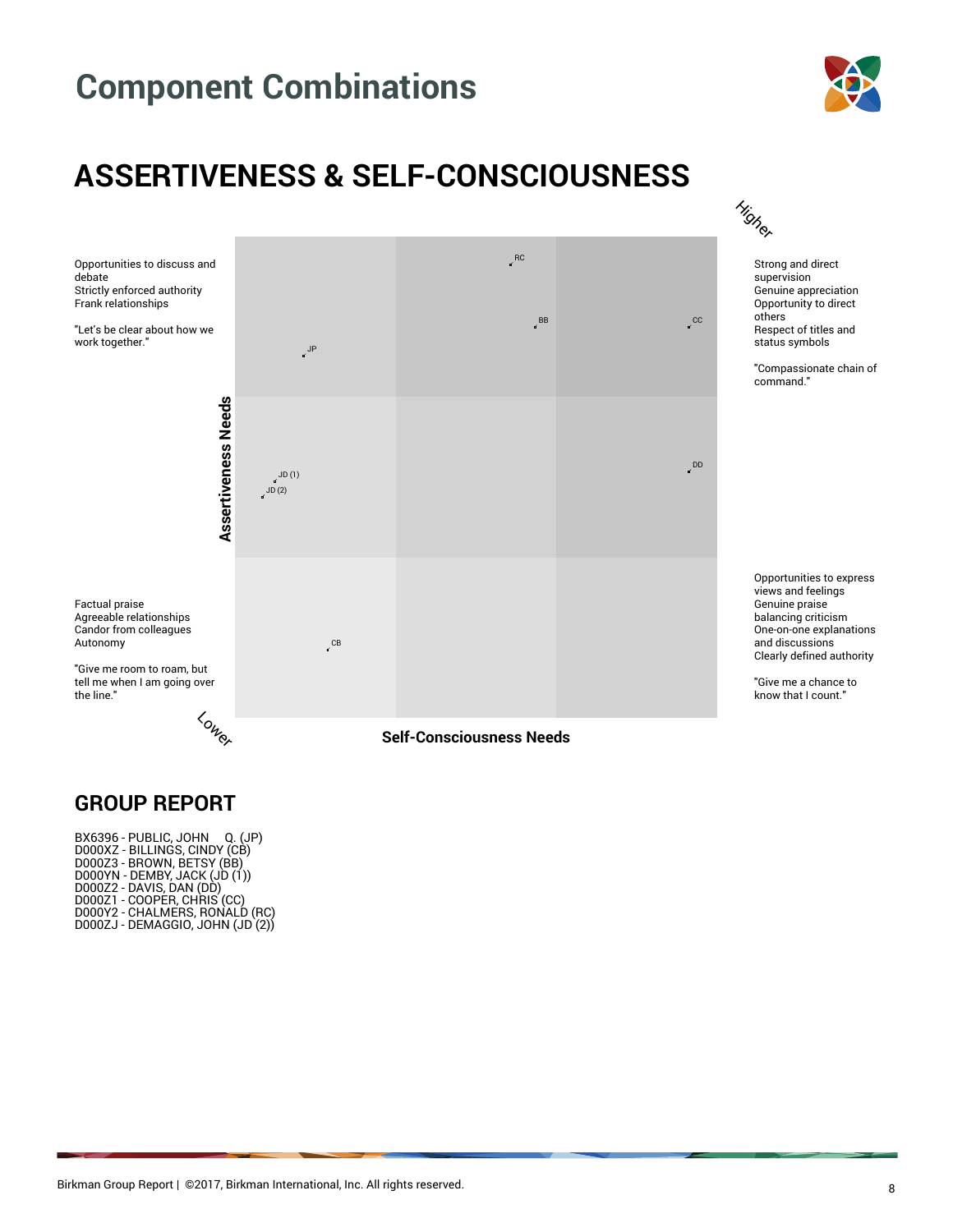

### **ASSERTIVENESS & SELF-CONSCIOUSNESS**



#### **GROUP REPORT**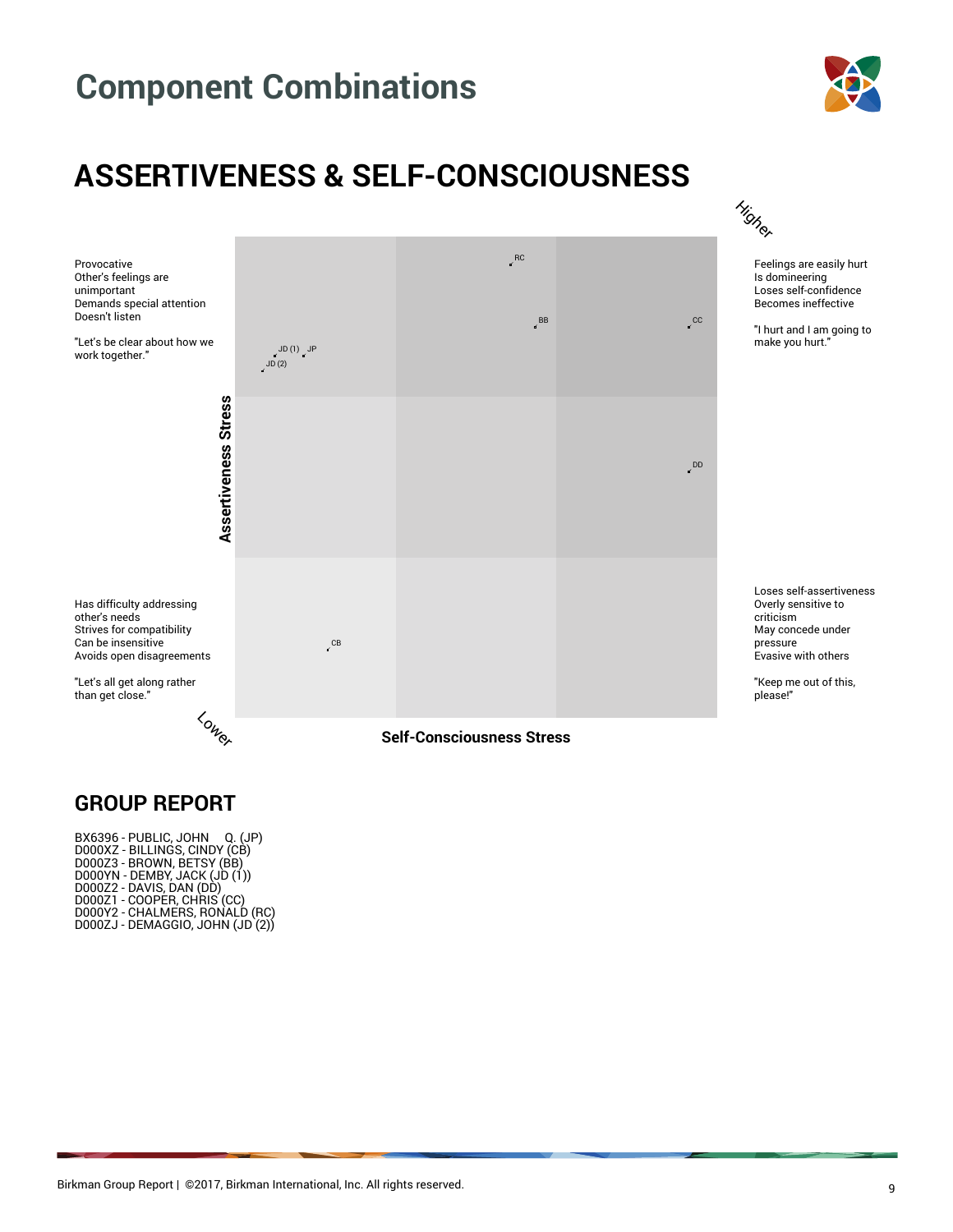

### **ASSERTIVENESS & SELF-CONSCIOUSNESS**



#### **GROUP REPORT**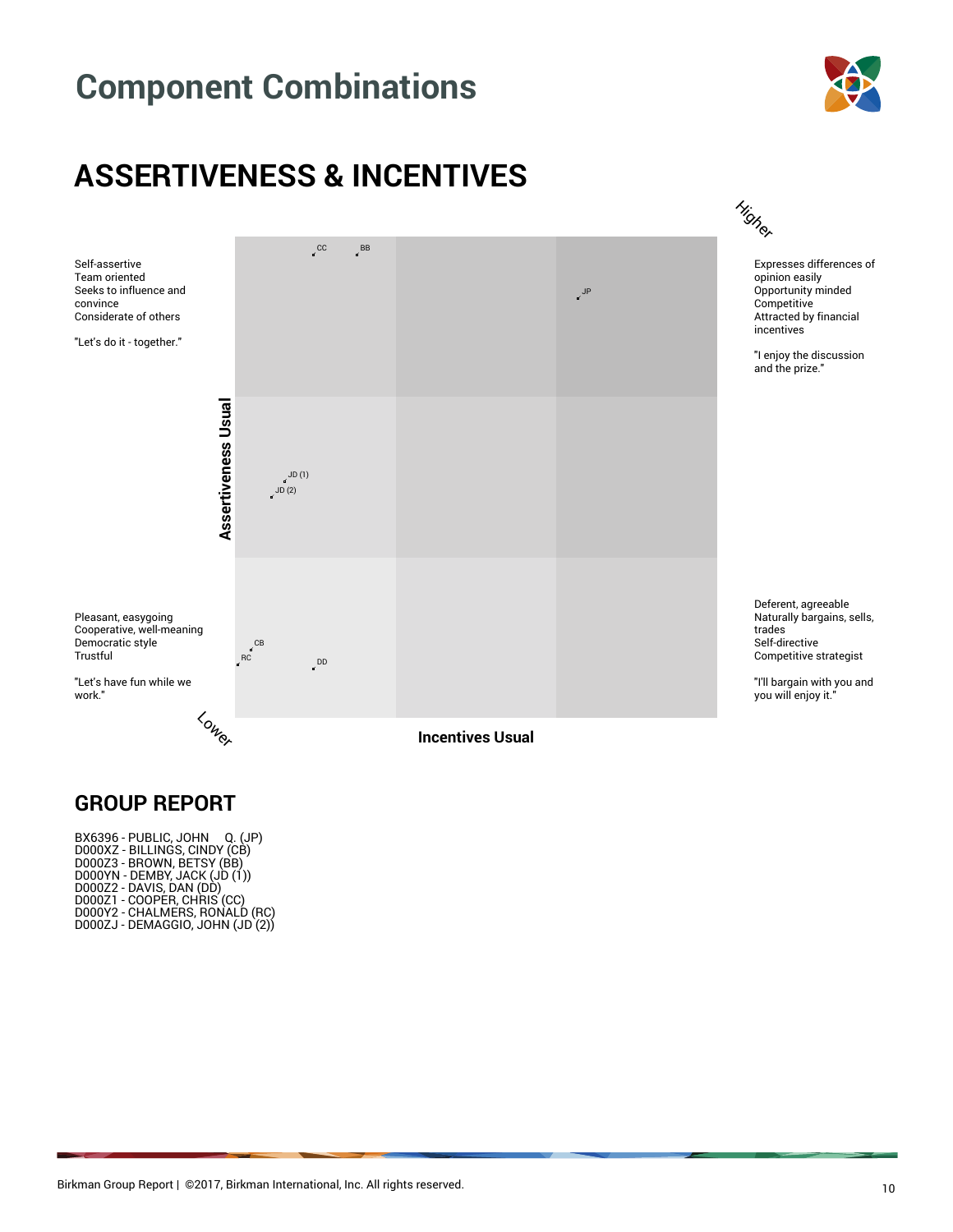

### **ASSERTIVENESS & INCENTIVES**



#### **GROUP REPORT**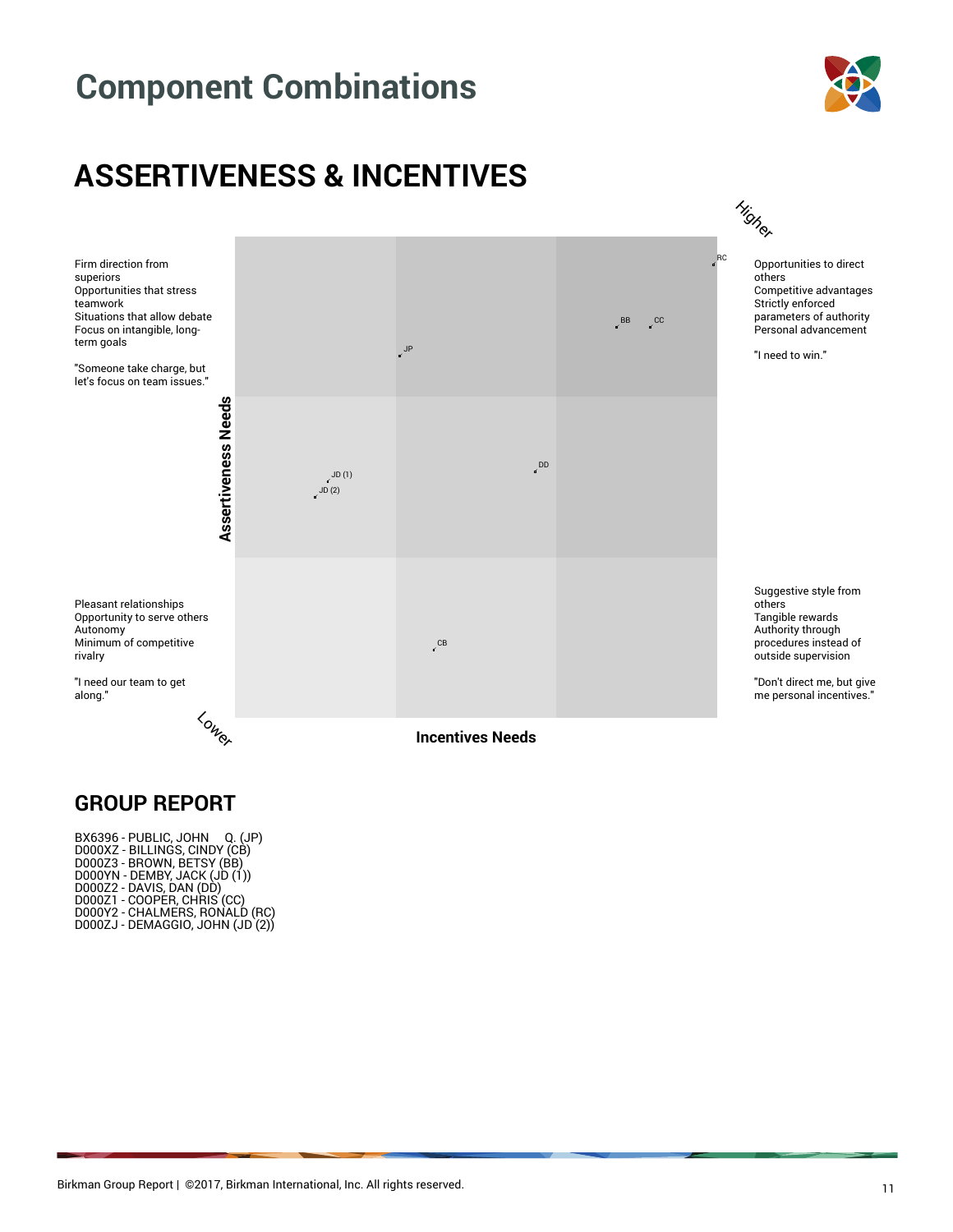



#### **GROUP REPORT**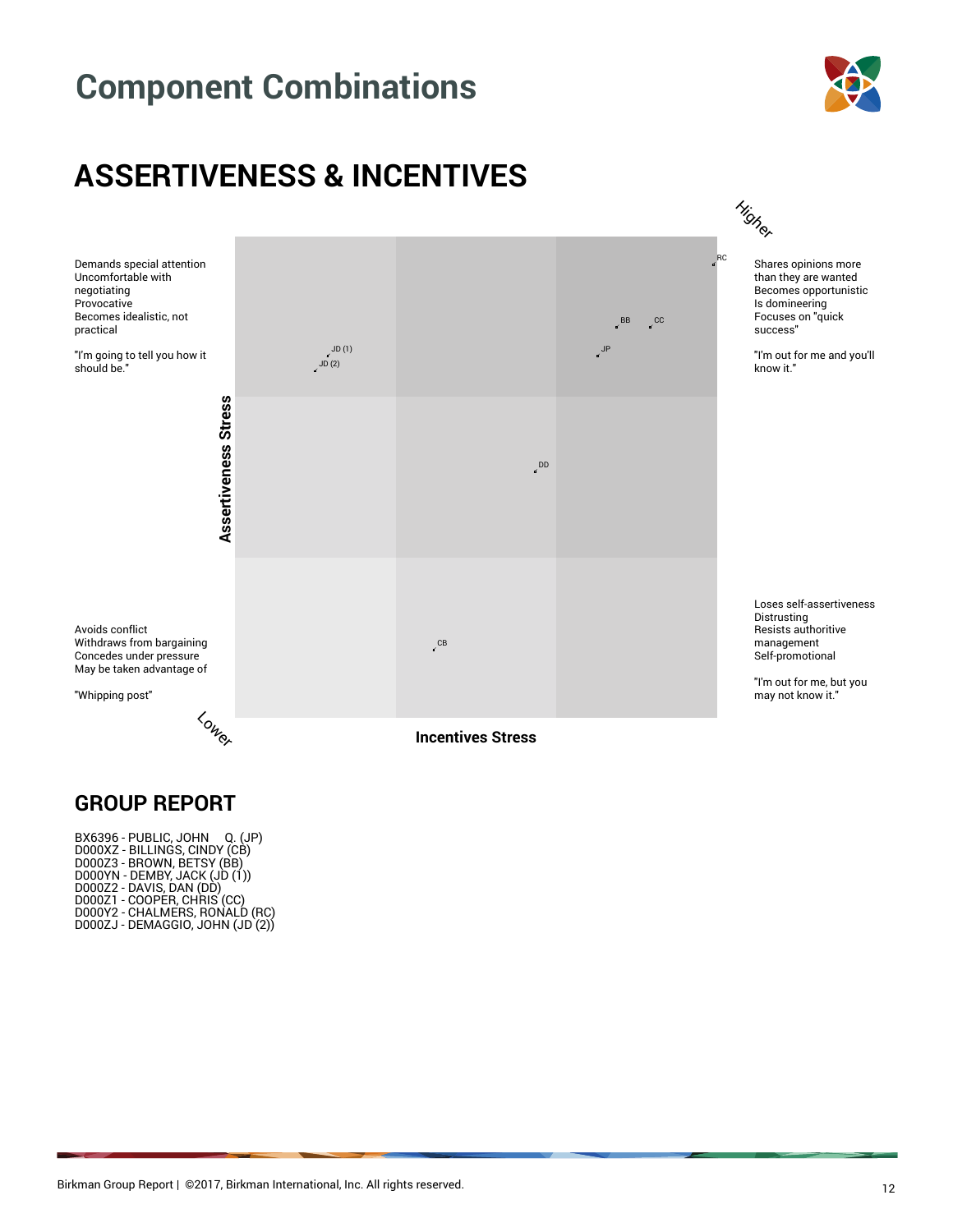





#### **GROUP REPORT**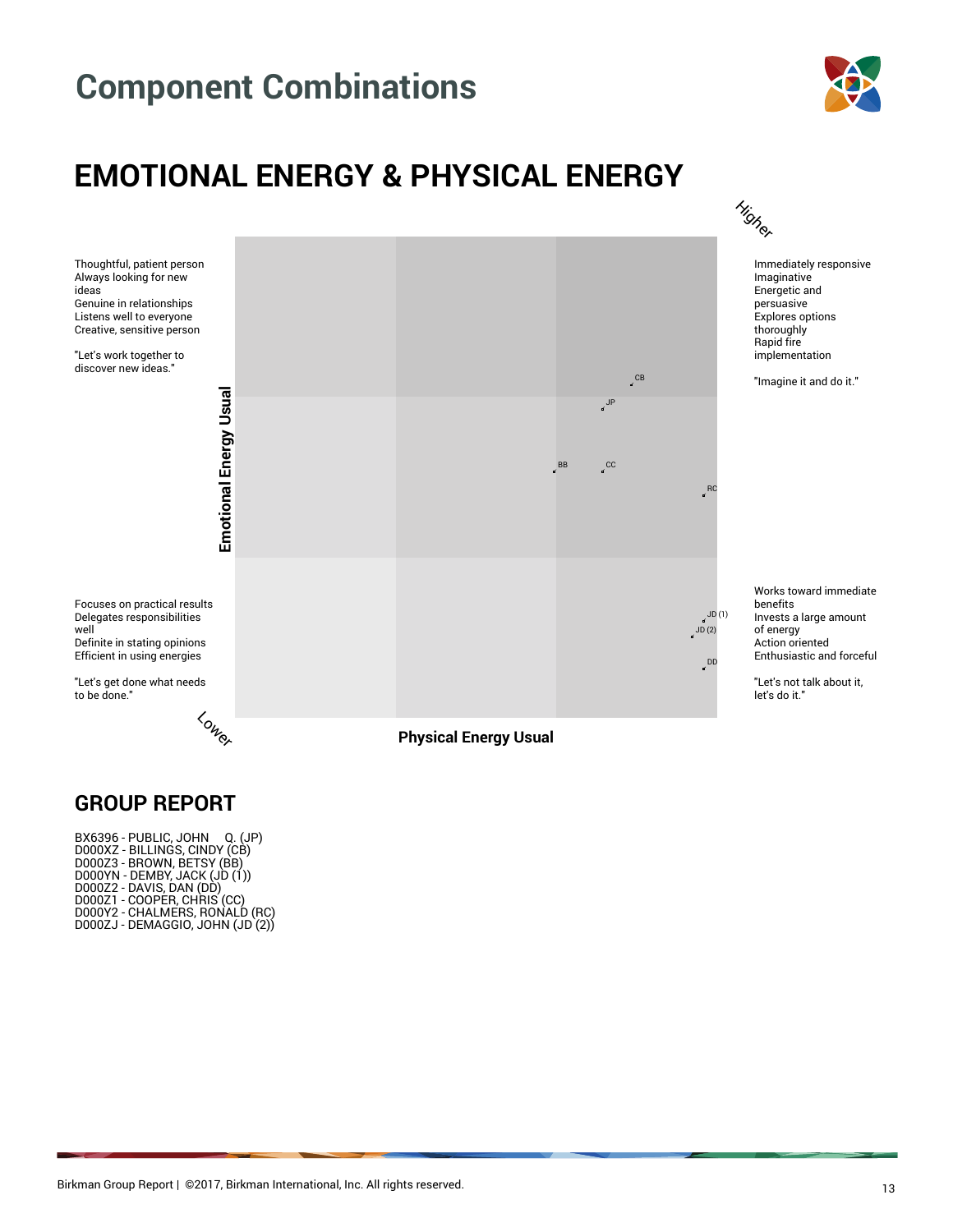



#### **GROUP REPORT**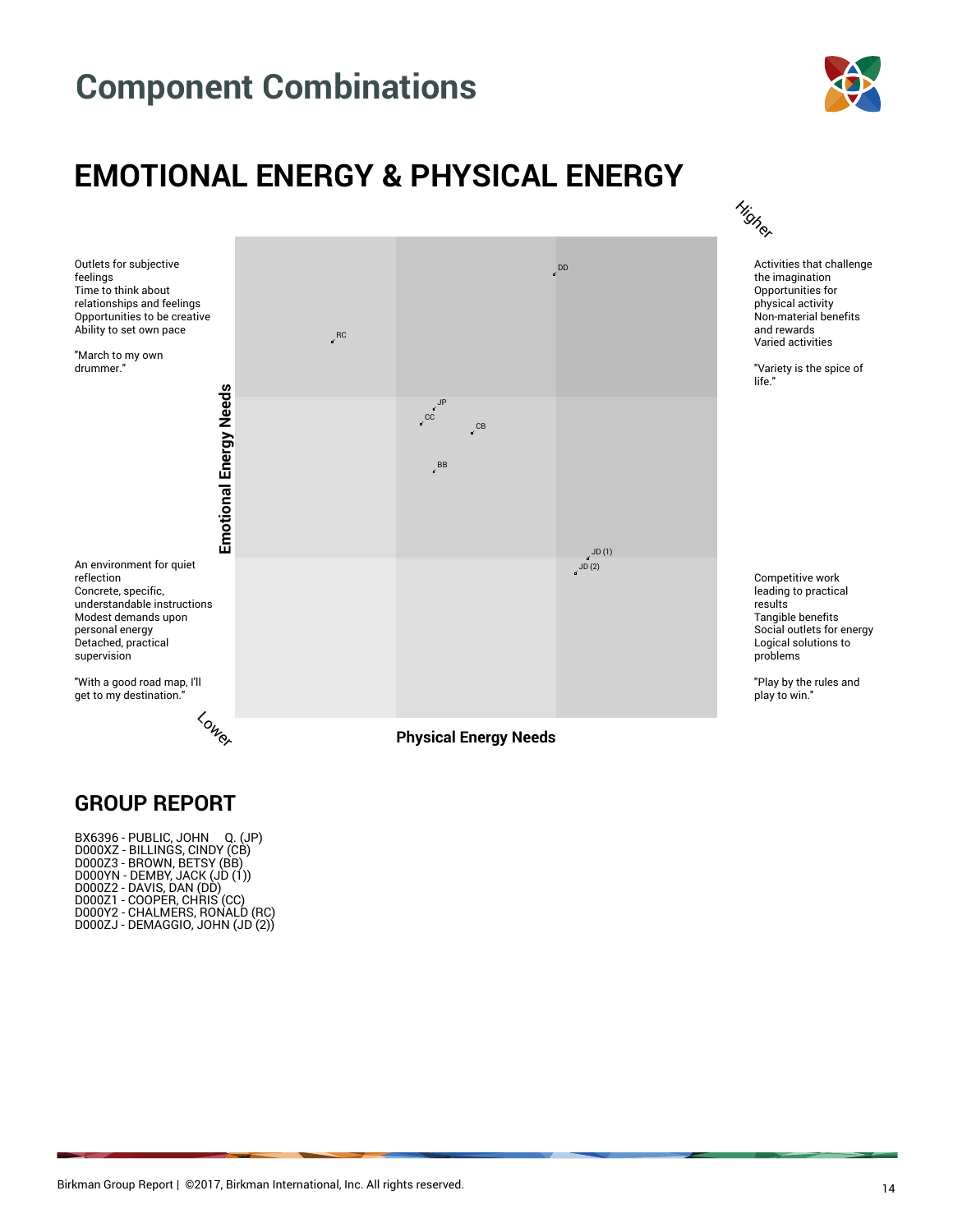

### **EMOTIONAL ENERGY & PHYSICAL ENERGY**



#### **GROUP REPORT**